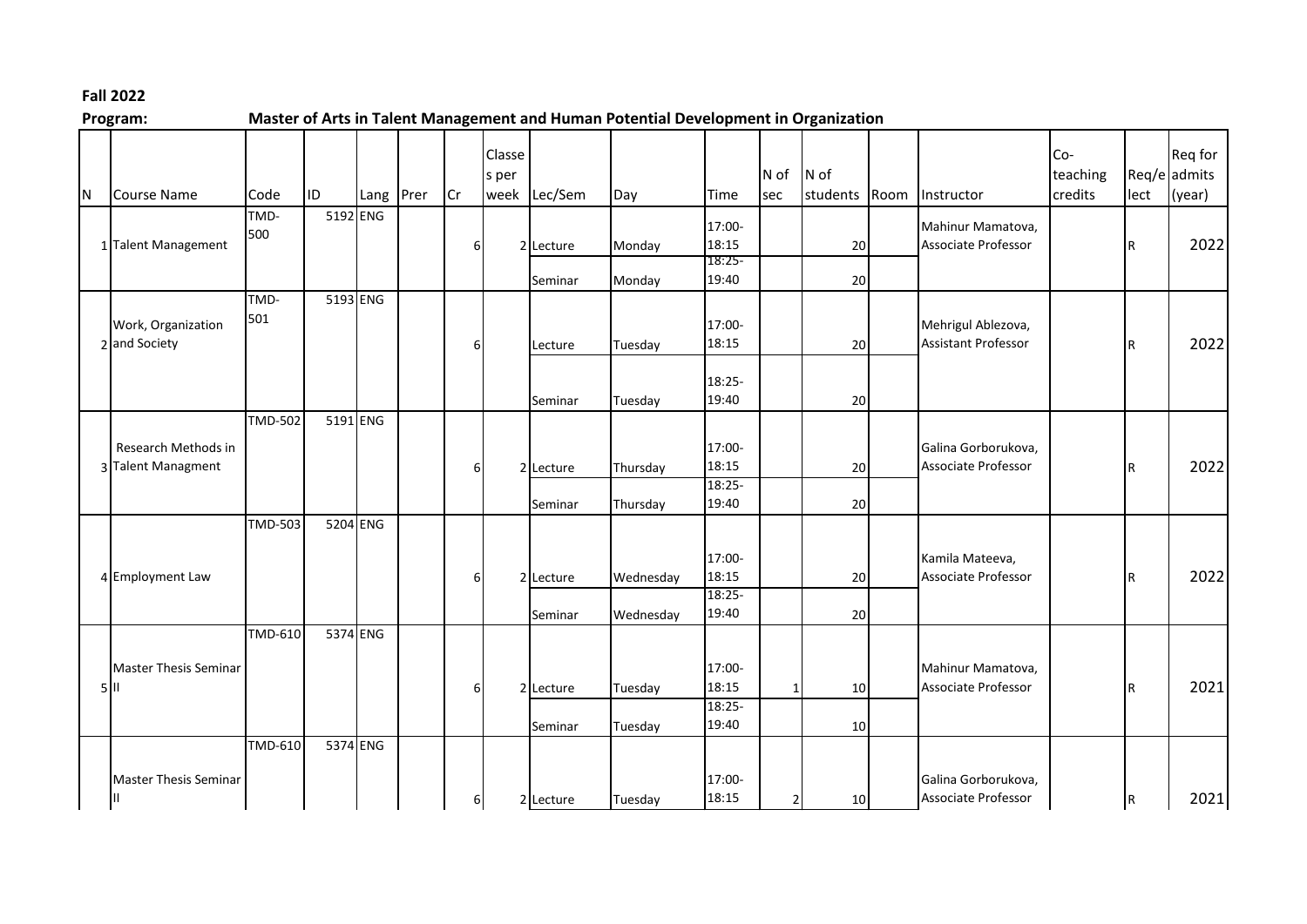## **Fall 2022**

| Program· |  |  |  |  |
|----------|--|--|--|--|

**Program: Master of Arts in Talent Management and Human Potential Development in Organization**

| N | Course Name                               | Code           | ID       | Lang | Prer | <b>Cr</b> | Classe<br>s per<br>week | Lec/Sem   | Day       | Time              | N of<br>sec  | N of<br>students | Room | Instructor                                    | Co-<br>teaching<br>credits | lect      | Req for<br>Req/e admits<br>(year) |
|---|-------------------------------------------|----------------|----------|------|------|-----------|-------------------------|-----------|-----------|-------------------|--------------|------------------|------|-----------------------------------------------|----------------------------|-----------|-----------------------------------|
|   | 1 Talent Management                       | TMD-<br>500    | 5192 ENG |      |      | 6         |                         | 2 Lecture | Monday    | 17:00-<br>18:15   |              | 20               |      | Mahinur Mamatova,<br>Associate Professor      |                            | R         | 2022                              |
|   |                                           |                |          |      |      |           |                         | Seminar   | Monday    | $18:25-$<br>19:40 |              | 20               |      |                                               |                            |           |                                   |
|   |                                           | TMD-           | 5193 ENG |      |      |           |                         |           |           |                   |              |                  |      |                                               |                            |           |                                   |
|   | Work, Organization                        | 501            |          |      |      |           |                         |           |           | 17:00-            |              |                  |      | Mehrigul Ablezova,                            |                            |           |                                   |
|   | 2 and Society                             |                |          |      |      | 6         |                         | Lecture   | Tuesday   | 18:15             |              | 20               |      | <b>Assistant Professor</b>                    |                            | l R       | 2022                              |
|   |                                           |                |          |      |      |           |                         |           |           | $18:25-$          |              |                  |      |                                               |                            |           |                                   |
|   |                                           |                |          |      |      |           |                         | Seminar   | Tuesday   | 19:40             |              | 20               |      |                                               |                            |           |                                   |
|   |                                           | <b>TMD-502</b> | 5191 ENG |      |      |           |                         |           |           |                   |              |                  |      |                                               |                            |           |                                   |
|   | Research Methods in<br>3 Talent Managment |                |          |      |      |           |                         |           |           | 17:00-            |              |                  |      | Galina Gorborukova,                           |                            | l R       | 2022                              |
|   |                                           |                |          |      |      | հ         |                         | 2 Lecture | Thursday  | 18:15             |              | 20               |      | <b>Associate Professor</b>                    |                            |           |                                   |
|   |                                           |                |          |      |      |           |                         | Seminar   | Thursday  | $18:25-$<br>19:40 |              | 20               |      |                                               |                            |           |                                   |
|   |                                           | <b>TMD-503</b> | 5204 ENG |      |      |           |                         |           |           |                   |              |                  |      |                                               |                            |           |                                   |
|   | 4 Employment Law                          |                |          |      |      |           |                         |           |           |                   |              |                  |      |                                               |                            |           |                                   |
|   |                                           |                |          |      |      | 6         |                         | 2 Lecture | Wednesday | 17:00-<br>18:15   |              | 20               |      | Kamila Mateeva,<br><b>Associate Professor</b> |                            | l R       | 2022                              |
|   |                                           |                |          |      |      |           |                         |           |           | $18:25 -$         |              |                  |      |                                               |                            |           |                                   |
|   |                                           |                |          |      |      |           |                         | Seminar   | Wednesday | 19:40             |              | 20               |      |                                               |                            |           |                                   |
|   |                                           | <b>TMD-610</b> | 5374 ENG |      |      |           |                         |           |           |                   |              |                  |      |                                               |                            |           |                                   |
|   | <b>Master Thesis Seminar</b>              |                |          |      |      |           |                         |           |           | 17:00-            |              |                  |      | Mahinur Mamatova,                             |                            |           |                                   |
|   | $5$  II                                   |                |          |      |      |           |                         | 2 Lecture | Tuesday   | 18:15             | $\mathbf{1}$ | 10               |      | <b>Associate Professor</b>                    |                            | lR.       | 2021                              |
|   |                                           |                |          |      |      |           |                         |           |           | 18:25-            |              |                  |      |                                               |                            |           |                                   |
|   |                                           | <b>TMD-610</b> | 5374 ENG |      |      |           |                         | Seminar   | Tuesday   | 19:40             |              | 10               |      |                                               |                            |           |                                   |
|   |                                           |                |          |      |      |           |                         |           |           |                   |              |                  |      |                                               |                            |           |                                   |
|   | <b>Master Thesis Seminar</b>              |                |          |      |      |           |                         |           |           | 17:00-            |              |                  |      | Galina Gorborukova,                           |                            |           |                                   |
|   | Ш                                         |                |          |      |      | 6         |                         | 2 Lecture | Tuesday   | 18:15             | $\mathbf{2}$ | 10               |      | Associate Professor                           |                            | <b>IR</b> | 2021                              |